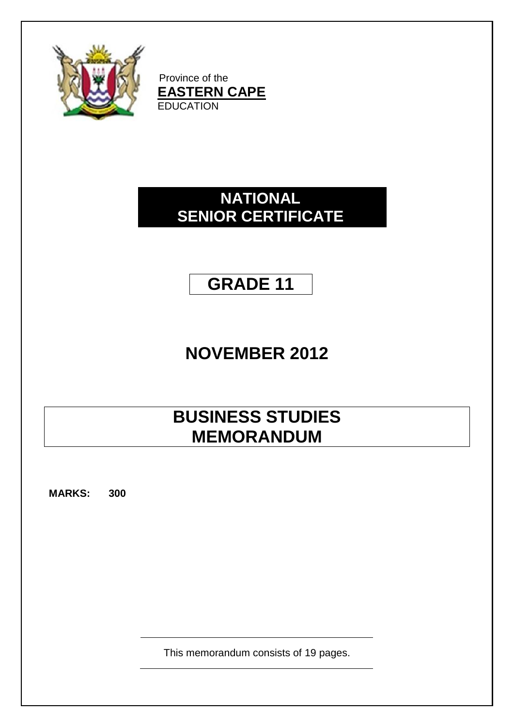

Province of the **EASTERN CAPE EDUCATION** 

# **NATIONAL SENIOR CERTIFICATE**

# **GRADE 11**

# **NOVEMBER 2012**

# **BUSINESS STUDIES MEMORANDUM**

**MARKS: 300**

This memorandum consists of 19 pages.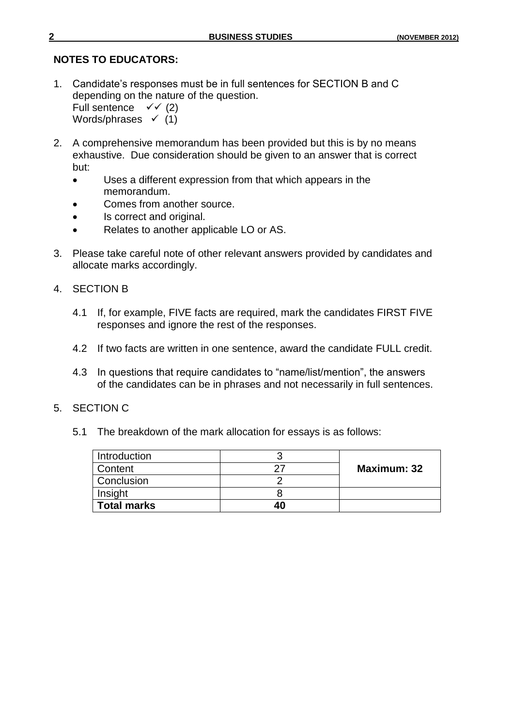#### **NOTES TO EDUCATORS:**

1. Candidate"s responses must be in full sentences for SECTION B and C depending on the nature of the question.

Full sentence  $\checkmark$  (2) Words/phrases  $\checkmark$  (1)

- 2. A comprehensive memorandum has been provided but this is by no means exhaustive. Due consideration should be given to an answer that is correct but:
	- Uses a different expression from that which appears in the memorandum.
	- Comes from another source.
	- Is correct and original.
	- Relates to another applicable LO or AS.
- 3. Please take careful note of other relevant answers provided by candidates and allocate marks accordingly.
- 4. SECTION B
	- 4.1 If, for example, FIVE facts are required, mark the candidates FIRST FIVE responses and ignore the rest of the responses.
	- 4.2 If two facts are written in one sentence, award the candidate FULL credit.
	- 4.3 In questions that require candidates to "name/list/mention", the answers of the candidates can be in phrases and not necessarily in full sentences.
- 5. SECTION C
	- 5.1 The breakdown of the mark allocation for essays is as follows:

| Introduction       |                    |  |  |
|--------------------|--------------------|--|--|
| Content            | <b>Maximum: 32</b> |  |  |
| Conclusion         |                    |  |  |
| Insight            |                    |  |  |
| <b>Total marks</b> |                    |  |  |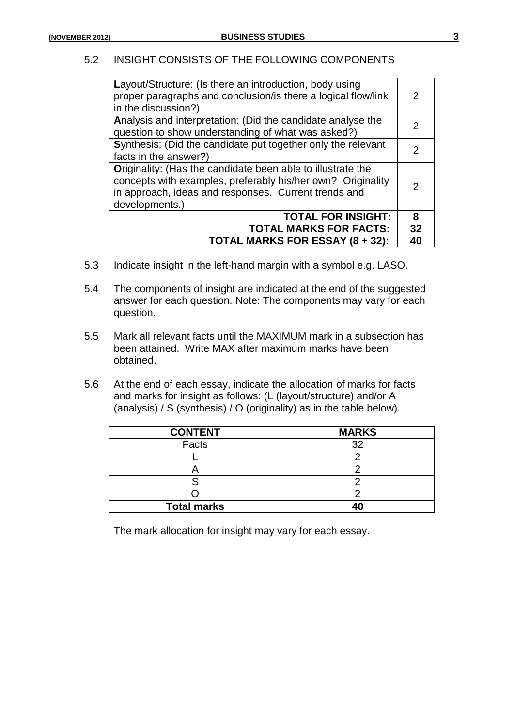#### 5.2 INSIGHT CONSISTS OF THE FOLLOWING COMPONENTS

| Layout/Structure: (Is there an introduction, body using<br>proper paragraphs and conclusion/is there a logical flow/link<br>in the discussion?)                                                      | 2              |
|------------------------------------------------------------------------------------------------------------------------------------------------------------------------------------------------------|----------------|
| Analysis and interpretation: (Did the candidate analyse the<br>question to show understanding of what was asked?)                                                                                    | $\mathcal{P}$  |
| Synthesis: (Did the candidate put together only the relevant<br>facts in the answer?)                                                                                                                | $\overline{2}$ |
| Originality: (Has the candidate been able to illustrate the<br>concepts with examples, preferably his/her own? Originality<br>in approach, ideas and responses. Current trends and<br>developments.) | $\mathcal{P}$  |
| <b>TOTAL FOR INSIGHT:</b><br><b>TOTAL MARKS FOR FACTS:</b>                                                                                                                                           | 8<br>32        |
| TOTAL MARKS FOR ESSAY (8 + 32):                                                                                                                                                                      | 40             |

- 5.3 Indicate insight in the left-hand margin with a symbol e.g. LASO.
- 5.4 The components of insight are indicated at the end of the suggested answer for each question. Note: The components may vary for each question.
- 5.5 Mark all relevant facts until the MAXIMUM mark in a subsection has been attained. Write MAX after maximum marks have been obtained.
- 5.6 At the end of each essay, indicate the allocation of marks for facts and marks for insight as follows: (L (layout/structure) and/or A (analysis) / S (synthesis) / O (originality) as in the table below).

| <b>CONTENT</b>     | <b>MARKS</b> |
|--------------------|--------------|
| Facts              | つつ           |
|                    |              |
|                    |              |
|                    |              |
|                    |              |
| <b>Total marks</b> |              |

The mark allocation for insight may vary for each essay.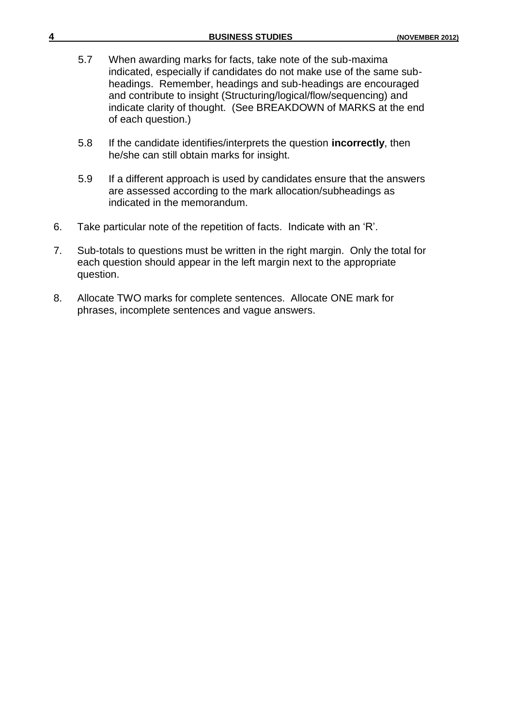| 4  |           | <b>BUSINESS STUDIES</b>                                                                                                                                                                                                                                                                                                                                            | (NOVEMBER 2012) |
|----|-----------|--------------------------------------------------------------------------------------------------------------------------------------------------------------------------------------------------------------------------------------------------------------------------------------------------------------------------------------------------------------------|-----------------|
|    | 5.7       | When awarding marks for facts, take note of the sub-maxima<br>indicated, especially if candidates do not make use of the same sub-<br>headings. Remember, headings and sub-headings are encouraged<br>and contribute to insight (Structuring/logical/flow/sequencing) and<br>indicate clarity of thought. (See BREAKDOWN of MARKS at the end<br>of each question.) |                 |
|    | 5.8       | If the candidate identifies/interprets the question <b>incorrectly</b> , then<br>he/she can still obtain marks for insight.                                                                                                                                                                                                                                        |                 |
|    | 5.9       | If a different approach is used by candidates ensure that the answers<br>are assessed according to the mark allocation/subheadings as<br>indicated in the memorandum.                                                                                                                                                                                              |                 |
| 6. |           | Take particular note of the repetition of facts. Indicate with an 'R'.                                                                                                                                                                                                                                                                                             |                 |
| 7. | question. | Sub-totals to questions must be written in the right margin. Only the total for<br>each question should appear in the left margin next to the appropriate                                                                                                                                                                                                          |                 |
| 8. |           | Allocate TWO marks for complete sentences. Allocate ONE mark for<br>phrases, incomplete sentences and vague answers.                                                                                                                                                                                                                                               |                 |
|    |           |                                                                                                                                                                                                                                                                                                                                                                    |                 |
|    |           |                                                                                                                                                                                                                                                                                                                                                                    |                 |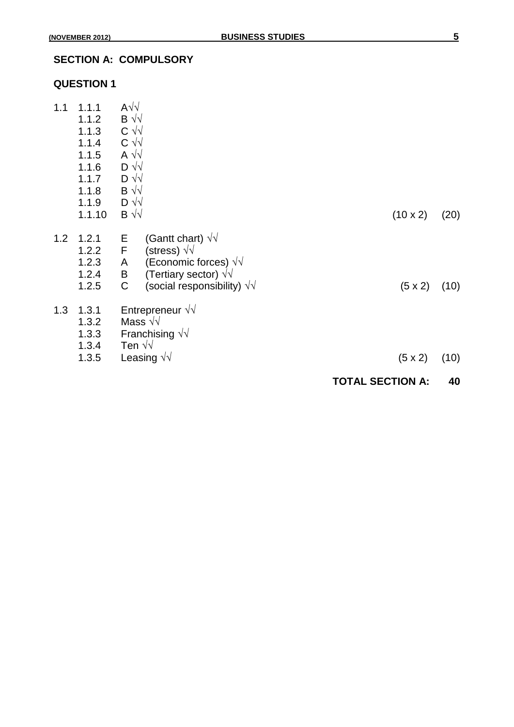|     |                                                                                         |                                                                                                                                                                                | <b>TOTAL SECTION A:</b> | 40   |
|-----|-----------------------------------------------------------------------------------------|--------------------------------------------------------------------------------------------------------------------------------------------------------------------------------|-------------------------|------|
|     | 1.3.2<br>1.3.3<br>1.3.4<br>1.3.5                                                        | Mass $\sqrt{v}$<br>Franchising $\sqrt{v}$<br>Ten $\sqrt{v}$<br>Leasing $\sqrt{v}$                                                                                              | $(5 \times 2)$          | (10) |
| 1.3 | 1.3.1                                                                                   | Entrepreneur $\sqrt{v}$                                                                                                                                                        |                         |      |
| 1.2 | 1.2.1<br>1.2.2<br>1.2.3<br>1.2.4<br>1.2.5                                               | (Gantt chart) $\sqrt{v}$<br>E<br>F<br>(stress) $\sqrt{v}$<br>(Economic forces) $\sqrt{v}$<br>A<br>(Tertiary sector) $\sqrt{v}$<br>Β<br>C<br>(social responsibility) $\sqrt{v}$ | $(5 \times 2)$          | (10) |
| 1.1 | 1.1.1<br>1.1.2<br>1.1.3<br>1.1.4<br>1.1.5<br>1.1.6<br>1.1.7<br>1.1.8<br>1.1.9<br>1.1.10 | $A\sqrt{2}$<br>$B \sqrt{v}$<br>$C \sqrt{v}$<br>$C \sqrt{v}$<br>A $\sqrt{2}$<br>$D \sqrt{2}$<br>$D \sqrt{2}$<br>$B \sqrt{v}$<br>$D \sqrt{v}$<br>$\mathsf{B} \sqrt{\sqrt{2}}$    | $(10 \times 2)$         | (20) |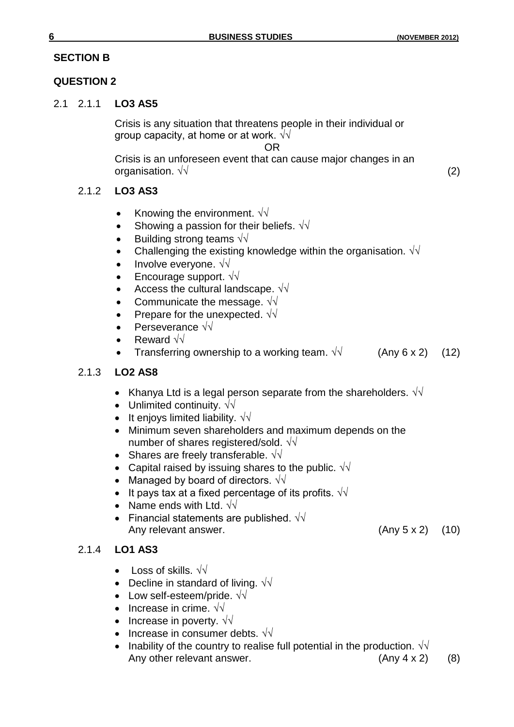## **SECTION B**

## **QUESTION 2**

## 2.1 2.1.1 **LO3 AS5**

Crisis is any situation that threatens people in their individual or group capacity, at home or at work.  $\sqrt{\sqrt{2}}$ 

OR

Crisis is an unforeseen event that can cause major changes in an organisation.  $\sqrt{V}$  (2)

## 2.1.2 **LO3 AS3**

- Knowing the environment.  $\sqrt{v}$
- Showing a passion for their beliefs.  $\sqrt{v}$
- Building strong teams  $\sqrt{\sqrt{2}}$
- Challenging the existing knowledge within the organisation.  $\sqrt{v}$
- Involve everyone.  $\sqrt{v}$
- Encourage support.  $\sqrt{v}$
- Access the cultural landscape.  $\sqrt{v}$
- Communicate the message.  $\sqrt{v}$
- Prepare for the unexpected.  $\sqrt{v}$
- Perseverance √√
- Reward √√
- Transferring ownership to a working team.  $\sqrt{v}$  (Any 6 x 2) (12)

## 2.1.3 **LO2 AS8**

- Khanya Ltd is a legal person separate from the shareholders.  $\sqrt{v}$
- Unlimited continuity.  $\sqrt{v}$
- It enjoys limited liability.  $\sqrt{v}$
- Minimum seven shareholders and maximum depends on the number of shares registered/sold.  $\sqrt{v}$
- Shares are freely transferable.  $\sqrt{\sqrt{2}}$
- Capital raised by issuing shares to the public.  $\sqrt{d}$
- Managed by board of directors.  $\sqrt{v}$
- It pays tax at a fixed percentage of its profits.  $\sqrt{1/\sqrt{1}}$
- Name ends with Ltd.  $\sqrt{\sqrt{2}}$
- Financial statements are published.  $\sqrt{v}$ Any relevant answer. (Any 5 x 2) (10)

# 2.1.4 **LO1 AS3**

- Loss of skills.  $\sqrt{\sqrt{2}}$
- Decline in standard of living.  $\sqrt{v}$
- Low self-esteem/pride. √√
- Increase in crime.  $\sqrt{\sqrt{}}$
- Increase in poverty.  $\sqrt{v}$
- Increase in consumer debts.  $\sqrt{\sqrt{}}$
- Inability of the country to realise full potential in the production.  $\sqrt{\sqrt{}}$ Any other relevant answer. (Any 4 x 2) (8)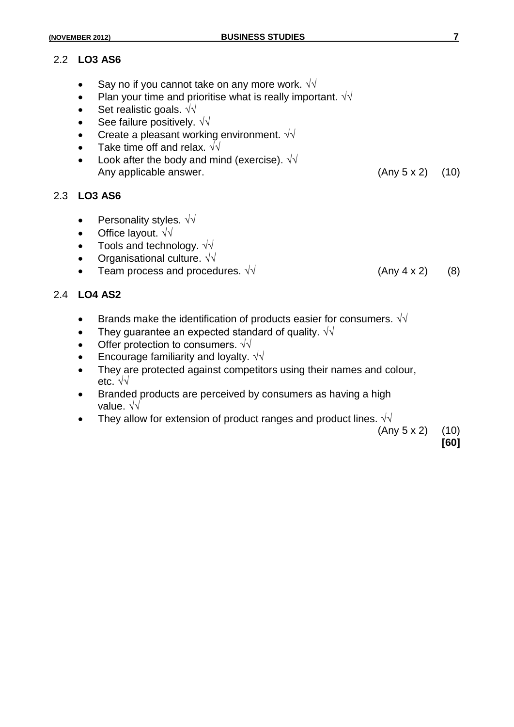#### 2.2 **LO3 AS6**

- Say no if you cannot take on any more work.  $\sqrt{v}$
- Plan your time and prioritise what is really important.  $\sqrt{v}$
- Set realistic goals. √√
- See failure positively.  $\sqrt{v}$
- Create a pleasant working environment. √√
- Take time off and relax.  $\sqrt{\sqrt{}}$
- Look after the body and mind (exercise).  $\sqrt{v}$ Any applicable answer. (Any 5 x 2) (10)

#### 2.3 **LO3 AS6**

- Personality styles.  $\sqrt{\sqrt{2}}$
- Office layout. √√
- Tools and technology.  $\sqrt{v}$
- Organisational culture.  $\sqrt{\sqrt{2}}$
- Team process and procedures.  $\sqrt{v}$  (Any 4 x 2) (8)

#### 2.4 **LO4 AS2**

- **•** Brands make the identification of products easier for consumers.  $\sqrt{v}$
- They guarantee an expected standard of quality.  $\sqrt{d}$
- Offer protection to consumers.  $\sqrt{v}$
- **Encourage familiarity and loyalty.**  $\sqrt{v}$
- They are protected against competitors using their names and colour, etc. √√
- Branded products are perceived by consumers as having a high value. √√
- They allow for extension of product ranges and product lines.  $\sqrt{\sqrt{ }}$

 $(Any 5 x 2)$   $(10)$ 

**[60]**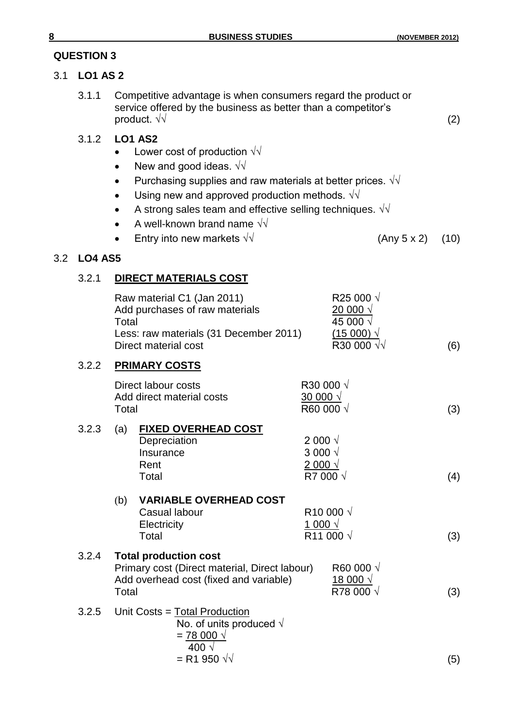## 3.1 **LO1 AS 2**

3.1.1 Competitive advantage is when consumers regard the product or service offered by the business as better than a competitor's product.  $\sqrt{v}$  (2)

## 3.1.2 **LO1 AS2**

- Lower cost of production  $\sqrt{v}$
- New and good ideas.  $\sqrt{\sqrt{2}}$
- Purchasing supplies and raw materials at better prices.  $\sqrt{v}$
- Using new and approved production methods.  $\sqrt{v}$
- A strong sales team and effective selling techniques.  $\sqrt{v}$
- A well-known brand name  $\sqrt{v}$
- $\bullet$  Entry into new markets √√ (Any 5 x 2) (10)

## 3.2 **LO4 AS5**

## 3.2.1 **DIRECT MATERIALS COST**

|       | Total | Raw material C1 (Jan 2011)<br>Add purchases of raw materials<br>Less: raw materials (31 December 2011)<br>Direct material cost |                                                                     | R <sub>25</sub> 000 √<br><u>20 000 <math>\sqrt{ }</math></u><br>45 000 √<br>$(15000)$ $\sqrt{ }$<br>R30 000 √√ | (6) |
|-------|-------|--------------------------------------------------------------------------------------------------------------------------------|---------------------------------------------------------------------|----------------------------------------------------------------------------------------------------------------|-----|
| 3.2.2 |       | <b>PRIMARY COSTS</b>                                                                                                           |                                                                     |                                                                                                                |     |
|       | Total | Direct labour costs<br>Add direct material costs                                                                               | R30 000 √<br>$30000 \sqrt{ }$<br>R60 000 √                          |                                                                                                                | (3) |
| 3.2.3 | (a)   | <b>FIXED OVERHEAD COST</b><br>Depreciation<br>Insurance<br>Rent<br>Total                                                       | 2 000 $\sqrt{ }$<br>3 000 $\sqrt{ }$<br>$2000 \sqrt{x}$<br>R7 000 √ |                                                                                                                | (4) |
|       | (b)   | <b>VARIABLE OVERHEAD COST</b><br>Casual labour<br>Electricity<br>Total                                                         | 1 000 $\sqrt{ }$                                                    | R <sub>10</sub> 000 √<br>R <sub>11</sub> 000 √                                                                 | (3) |
| 3.2.4 | Total | <b>Total production cost</b><br>Primary cost (Direct material, Direct labour)<br>Add overhead cost (fixed and variable)        |                                                                     | R60 000 $\sqrt$<br><u>18 000 <math>\sqrt</math></u><br>R78 000 √                                               | (3) |
| 3.2.5 |       | Unit Costs = Total Production<br>No. of units produced $\sqrt{ }$<br>$= 78000 \sqrt{x}$<br>400 √<br>= R1 950 $\sqrt{2}$        |                                                                     |                                                                                                                | (5) |
|       |       |                                                                                                                                |                                                                     |                                                                                                                |     |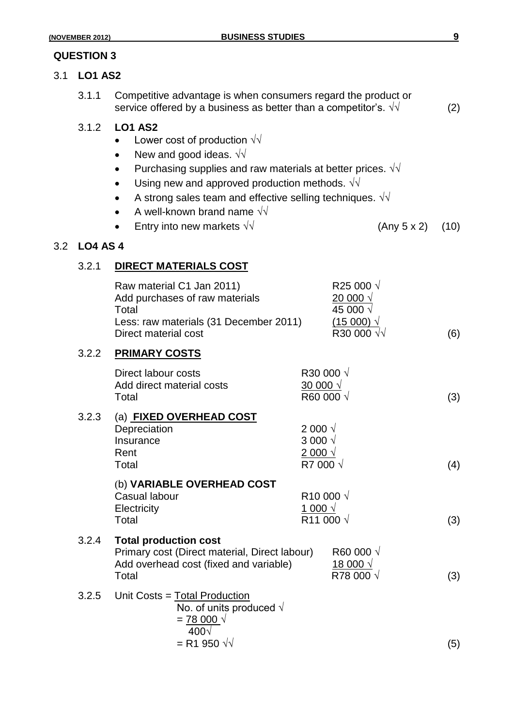## 3.1 **LO1 AS2**

3.1.1 Competitive advantage is when consumers regard the product or service offered by a business as better than a competitor's.  $\sqrt{v}$  (2)

#### 3.1.2 **LO1 AS2**

- Lower cost of production  $\sqrt{v}$
- New and good ideas.  $\sqrt{\sqrt{2}}$
- Purchasing supplies and raw materials at better prices.  $\sqrt{v}$
- Using new and approved production methods.  $\sqrt{v}$
- A strong sales team and effective selling techniques.  $\sqrt{v}$
- A well-known brand name  $\sqrt{v}$
- $\bullet$  Entry into new markets  $\sqrt{v}$  (Any 5 x 2) (10)

#### 3.2 **LO4 AS 4**

#### 3.2.1 **DIRECT MATERIALS COST**

|       | Raw material C1 Jan 2011)<br>Add purchases of raw materials<br>Total<br>Less: raw materials (31 December 2011)<br>Direct material cost |                                                                             | R <sub>25</sub> 000 √<br><u>20 000 √</u><br>45 000 √<br>$(15000)$ $\sqrt{ }$<br>R30 000 √√ | (6) |
|-------|----------------------------------------------------------------------------------------------------------------------------------------|-----------------------------------------------------------------------------|--------------------------------------------------------------------------------------------|-----|
| 3.2.2 | <b>PRIMARY COSTS</b>                                                                                                                   |                                                                             |                                                                                            |     |
|       | Direct labour costs<br>Add direct material costs<br>Total                                                                              | R30 000 √<br>$\frac{30000 \sqrt{2}}{2}$<br>R60 000 √                        |                                                                                            | (3) |
| 3.2.3 | (a) FIXED OVERHEAD COST<br>Depreciation<br>Insurance<br>Rent<br>Total                                                                  | 2 000 $\sqrt{ }$<br>3 000 $\sqrt{ }$<br>$2000 \sqrt{x}$<br>R7 000 √         |                                                                                            | (4) |
|       | (b) VARIABLE OVERHEAD COST<br><b>Casual labour</b><br>Electricity<br>Total                                                             | R <sub>10</sub> 000 √<br>$\frac{1000 \sqrt{2}}{2}$<br>R <sub>11</sub> 000 √ |                                                                                            | (3) |
| 3.2.4 | <b>Total production cost</b><br>Primary cost (Direct material, Direct labour)<br>Add overhead cost (fixed and variable)<br>Total       |                                                                             | R60 000 √<br><u>18 000 <math>\sqrt{ }</math></u><br>R78 000 √                              | (3) |
| 3.2.5 | Unit Costs = Total Production<br>No. of units produced $\sqrt{ }$<br>$= 78000 \sqrt{x}$<br>$400\sqrt{ }$<br>$=$ R1 950 $\sqrt{2}$      |                                                                             |                                                                                            | (5) |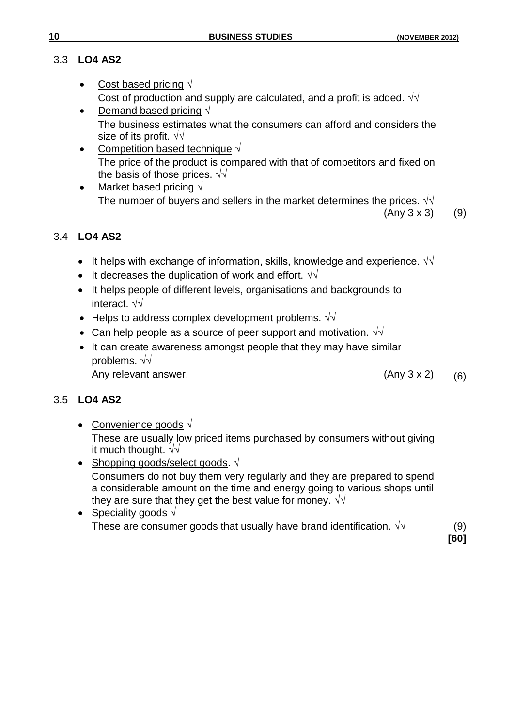# 3.3 **LO4 AS2**

- Cost based pricing √ Cost of production and supply are calculated, and a profit is added.  $\sqrt{d}$
- Demand based pricing  $\sqrt{ }$ The business estimates what the consumers can afford and considers the size of its profit. √√
- Competition based technique √ The price of the product is compared with that of competitors and fixed on the basis of those prices.  $\sqrt{\sqrt{}}$
- Market based pricing √ The number of buyers and sellers in the market determines the prices.  $\sqrt{\sqrt{}}$  $(Any 3 x 3)$  (9)

# 3.4 **LO4 AS2**

- It helps with exchange of information, skills, knowledge and experience.  $\sqrt{\sqrt{ }}$
- It decreases the duplication of work and effort.  $\sqrt{v}$
- It helps people of different levels, organisations and backgrounds to interact. √√
- Helps to address complex development problems.  $\sqrt{d}$
- Can help people as a source of peer support and motivation.  $\sqrt{v}$
- It can create awareness amongst people that they may have similar problems. √√ Any relevant answer. (Any 3 x 2) (6)

# 3.5 **LO4 AS2**

- Convenience goods √ These are usually low priced items purchased by consumers without giving it much thought.  $\sqrt{\sqrt{2}}$
- Shopping goods/select goods.  $\sqrt{ }$ Consumers do not buy them very regularly and they are prepared to spend a considerable amount on the time and energy going to various shops until they are sure that they get the best value for money.  $\sqrt{v}$
- Speciality goods  $\sqrt{ }$ These are consumer goods that usually have brand identification.  $\sqrt{v}$  (9)

**[60]**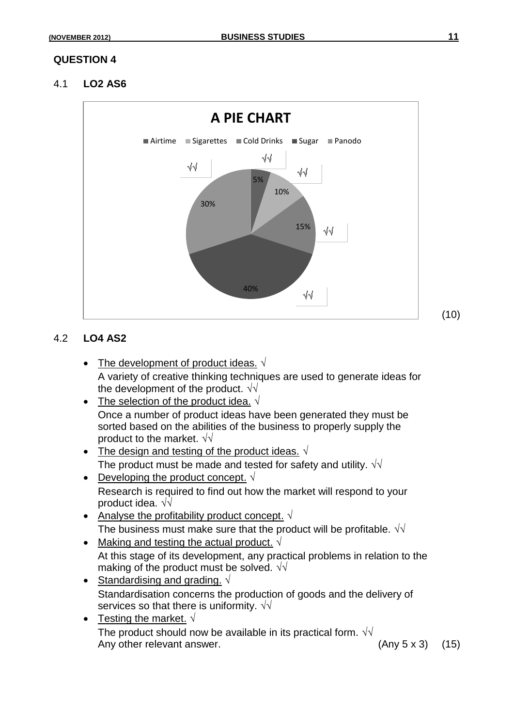4.1 **LO2 AS6**



## 4.2 **LO4 AS2**

- The development of product ideas.  $\sqrt{ }$ A variety of creative thinking techniques are used to generate ideas for the development of the product.  $\sqrt{\sqrt{2}}$
- The selection of the product idea.  $\sqrt{ }$ Once a number of product ideas have been generated they must be sorted based on the abilities of the business to properly supply the product to the market.  $\sqrt{\sqrt{2}}$
- The design and testing of the product ideas.  $\sqrt{ }$ The product must be made and tested for safety and utility.  $\sqrt{d}$
- Developing the product concept.  $\sqrt{ }$ Research is required to find out how the market will respond to your product idea. √√
- Analyse the profitability product concept.  $\sqrt{ }$ The business must make sure that the product will be profitable.  $\sqrt{\sqrt{}}$
- Making and testing the actual product.  $\sqrt{ }$ At this stage of its development, any practical problems in relation to the making of the product must be solved.  $\sqrt{\sqrt{}}$
- Standardising and grading.  $\sqrt{ }$ Standardisation concerns the production of goods and the delivery of services so that there is uniformity.  $\sqrt{\sqrt{}}$
- Testing the market.  $\sqrt{ }$ The product should now be available in its practical form.  $\sqrt{\sqrt{2}}$ Any other relevant answer.  $(45)$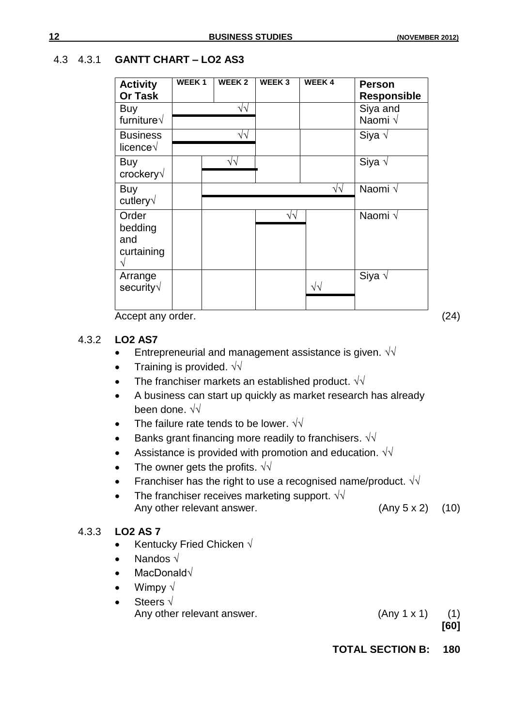#### 4.3 4.3.1 **GANTT CHART – LO2 AS3**

| <b>Activity</b>      | <b>WEEK1</b> | WEEK 2            | <b>WEEK3</b>      | <b>WEEK4</b>       | <b>Person</b>      |
|----------------------|--------------|-------------------|-------------------|--------------------|--------------------|
| <b>Or Task</b>       |              |                   |                   |                    | <b>Responsible</b> |
| Buy                  |              | $\sqrt{2}$        |                   |                    | Siya and           |
| furniture $\sqrt{ }$ |              |                   |                   |                    | Naomi √            |
| <b>Business</b>      |              | $\sqrt{2}$        |                   |                    | Siya $\sqrt$       |
| licence $\sqrt$      |              |                   |                   |                    |                    |
| Buy                  |              | $\sqrt{\sqrt{2}}$ |                   |                    | Siya $\sqrt$       |
| crockery√            |              |                   |                   |                    |                    |
| Buy                  |              |                   |                   | $\sqrt{2}$         | Naomi √            |
| cutlery√             |              |                   |                   |                    |                    |
| Order                |              |                   | $\sqrt{\sqrt{2}}$ |                    | Naomi √            |
| bedding              |              |                   |                   |                    |                    |
| and                  |              |                   |                   |                    |                    |
| curtaining           |              |                   |                   |                    |                    |
|                      |              |                   |                   |                    |                    |
| Arrange              |              |                   |                   |                    | Siya $\sqrt$       |
| security $\sqrt{}$   |              |                   |                   | $\sqrt{\sqrt{25}}$ |                    |
|                      |              |                   |                   |                    |                    |

Accept any order. (24)

#### 4.3.2 **LO2 AS7**

- Entrepreneurial and management assistance is given.  $\sqrt{v}$
- Training is provided.  $\sqrt{v}$
- The franchiser markets an established product.  $\sqrt{\sqrt{2}}$
- A business can start up quickly as market research has already been done. √√
- The failure rate tends to be lower.  $\sqrt{\sqrt{}}$
- Banks grant financing more readily to franchisers.  $\sqrt{v}$
- Assistance is provided with promotion and education.  $\sqrt{d}$
- The owner gets the profits.  $\sqrt{v}$
- Franchiser has the right to use a recognised name/product.  $\sqrt{v}$
- The franchiser receives marketing support.  $\sqrt{v}$ Any other relevant answer. (Any 5 x 2) (10)

#### 4.3.3 **LO2 AS 7**

- Kentucky Fried Chicken  $\sqrt$
- Nandos √
- MacDonald√
- Wimpy  $\sqrt{ }$
- Steers √

Any other relevant answer. (Any 1 x 1) (1)

**[60]**

**TOTAL SECTION B: 180**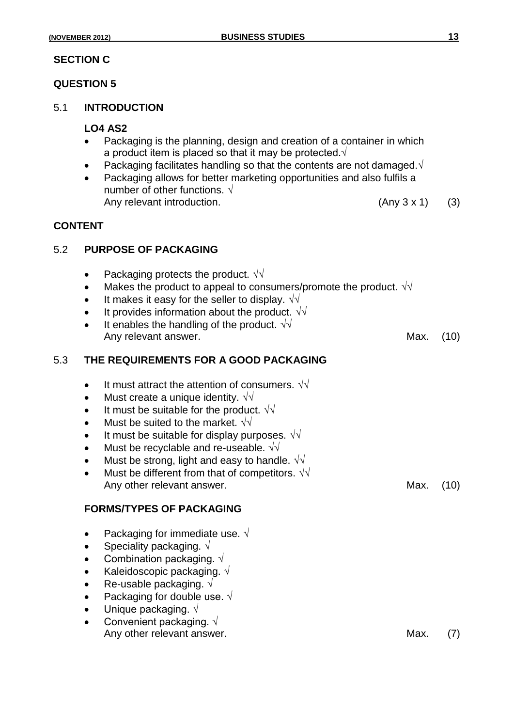## **SECTION C**

#### **QUESTION 5**

#### 5.1 **INTRODUCTION**

#### **LO4 AS2**

- Packaging is the planning, design and creation of a container in which a product item is placed so that it may be protected. $\sqrt{ }$
- Packaging facilitates handling so that the contents are not damaged.√
- Packaging allows for better marketing opportunities and also fulfils a number of other functions. √ Any relevant introduction.  $(3)$

#### **CONTENT**

#### 5.2 **PURPOSE OF PACKAGING**

- Packaging protects the product.  $\sqrt{\sqrt{ }}$
- Makes the product to appeal to consumers/promote the product.  $\sqrt{v}$
- It makes it easy for the seller to display.  $\sqrt{v}$
- It provides information about the product.  $\sqrt{\sqrt{ }}$
- It enables the handling of the product.  $\sqrt{v}$ Any relevant answer. Any relevant answer.

#### 5.3 **THE REQUIREMENTS FOR A GOOD PACKAGING**

- It must attract the attention of consumers.  $\sqrt{v}$
- Must create a unique identity.  $\sqrt{\sqrt{2}}$
- It must be suitable for the product.  $\sqrt{\sqrt{}}$
- Must be suited to the market.  $\sqrt{\sqrt{2}}$
- It must be suitable for display purposes.  $\sqrt{\sqrt{}}$
- Must be recyclable and re-useable. √√
- Must be strong, light and easy to handle.  $\sqrt{\sqrt{}}$
- Must be different from that of competitors.  $\sqrt{v}$ Any other relevant answer. The contract of the Max. (10)

#### **FORMS/TYPES OF PACKAGING**

- Packaging for immediate use.  $\sqrt{ }$
- Speciality packaging.  $\sqrt{ }$
- Combination packaging.  $\sqrt{ }$
- Kaleidoscopic packaging.  $\sqrt{ }$
- Re-usable packaging.  $\sqrt{ }$
- Packaging for double use. √
- Unique packaging.  $\sqrt{ }$
- Convenient packaging.  $\sqrt{ }$ Any other relevant answer. The contract of the Max. (7)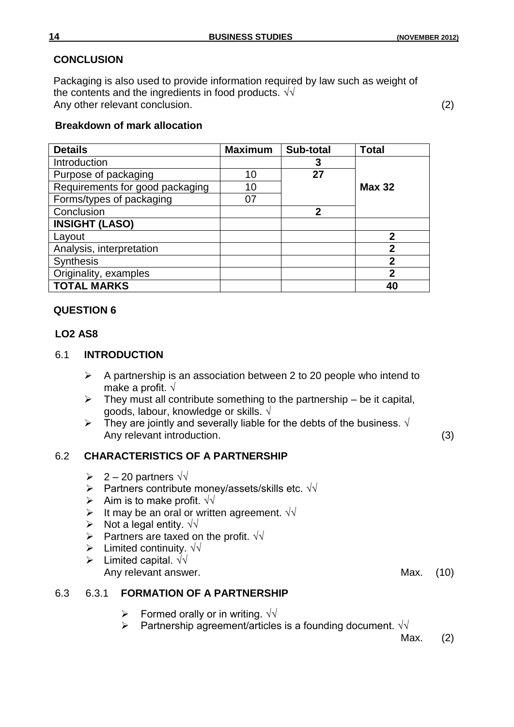## **CONCLUSION**

Packaging is also used to provide information required by law such as weight of the contents and the ingredients in food products. √√ Any other relevant conclusion. (2) (2)

## **Breakdown of mark allocation**

| <b>Details</b>                  | <b>Maximum</b> | Sub-total | <b>Total</b>  |
|---------------------------------|----------------|-----------|---------------|
| Introduction                    |                | 3         |               |
| Purpose of packaging            | 10             | 27        |               |
| Requirements for good packaging | 10             |           | <b>Max 32</b> |
| Forms/types of packaging        | 07             |           |               |
| Conclusion                      |                | 2         |               |
| <b>INSIGHT (LASO)</b>           |                |           |               |
| Layout                          |                |           | 2             |
| Analysis, interpretation        |                |           | 2             |
| <b>Synthesis</b>                |                |           | 2             |
| Originality, examples           |                |           | 2             |
| <b>TOTAL MARKS</b>              |                |           |               |

## **QUESTION 6**

## **LO2 AS8**

## 6.1 **INTRODUCTION**

- $\triangleright$  A partnership is an association between 2 to 20 people who intend to make a profit. √
- $\triangleright$  They must all contribute something to the partnership be it capital, goods, labour, knowledge or skills. √
- Finey are jointly and severally liable for the debts of the business.  $\sqrt{ }$ Any relevant introduction. (3)

## 6.2 **CHARACTERISTICS OF A PARTNERSHIP**

- $\triangleright$  2 20 partners  $\sqrt{1}$
- **>** Partners contribute money/assets/skills etc.  $\sqrt{\sqrt{}}$
- Aim is to make profit.  $\sqrt{v}$
- It may be an oral or written agreement.  $\sqrt{v}$
- $\triangleright$  Not a legal entity. √√
- Partners are taxed on the profit.  $\sqrt{v}$
- Limited continuity. √√
- $\triangleright$  Limited capital.  $\sqrt{\sqrt{2}}$ Any relevant answer. The contract of the Max. (10)

## 6.3 6.3.1 **FORMATION OF A PARTNERSHIP**

- Formed orally or in writing.  $\sqrt{v}$
- Partnership agreement/articles is a founding document.  $\sqrt{\sqrt{}}$

Max. (2)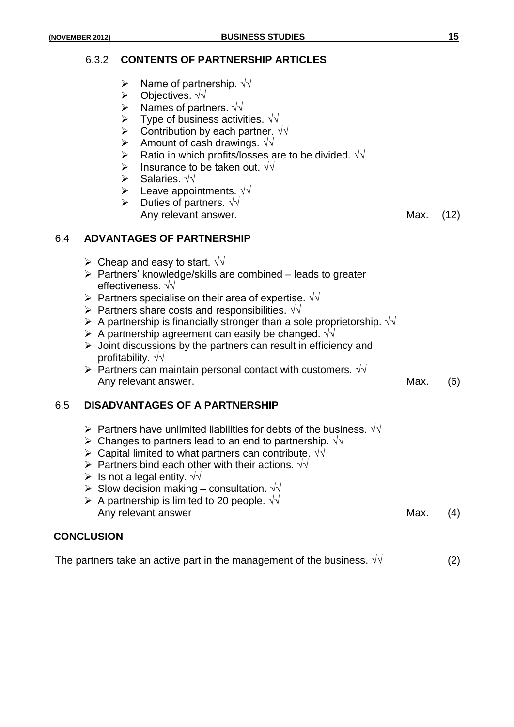#### 6.3.2 **CONTENTS OF PARTNERSHIP ARTICLES**

- Name of partnership. √√
- Objectives. √√
- Names of partners. √√
- $\triangleright$  Type of business activities. √√
- $\triangleright$  Contribution by each partner. √
- Amount of cash drawings.  $\sqrt{v}$
- Ratio in which profits/losses are to be divided. √√
- > Insurance to be taken out.  $\sqrt{v}$
- Salaries. √√
- $\triangleright$  Leave appointments.  $\sqrt{\sqrt{2}}$
- Duties of partners. √√ Any relevant answer. The contract of the Max. (12)

## 6.4 **ADVANTAGES OF PARTNERSHIP**

- $\triangleright$  Cheap and easy to start.  $\sqrt{v}$
- $\triangleright$  Partners' knowledge/skills are combined leads to greater effectiveness. √√
- **>** Partners specialise on their area of expertise.  $\sqrt{\sqrt{}}$
- **>** Partners share costs and responsibilities.  $\sqrt{\sqrt{ }}$
- A partnership is financially stronger than a sole proprietorship.  $\sqrt{v}$
- A partnership agreement can easily be changed.  $\sqrt{v}$
- $\triangleright$  Joint discussions by the partners can result in efficiency and profitability. √√
- $\triangleright$  Partners can maintain personal contact with customers. √√ Any relevant answer. (6) and the state of the Max. (6)

## 6.5 **DISADVANTAGES OF A PARTNERSHIP**

- $\triangleright$  Partners have unlimited liabilities for debts of the business.  $\sqrt{\sqrt{}}$
- $\triangleright$  Changes to partners lead to an end to partnership.  $\sqrt{\sqrt{}}$
- $\triangleright$  Capital limited to what partners can contribute.  $\sqrt{\sqrt{}}$
- $\triangleright$  Partners bind each other with their actions. √√
- $\triangleright$  Is not a legal entity.  $\sqrt{\sqrt{}}$
- Slow decision making consultation. √√
- A partnership is limited to 20 people.  $\sqrt{\sqrt{ }}$ Any relevant answer Max. (4) Any relevant answer

#### **CONCLUSION**

The partners take an active part in the management of the business.  $\sqrt{v}$  (2)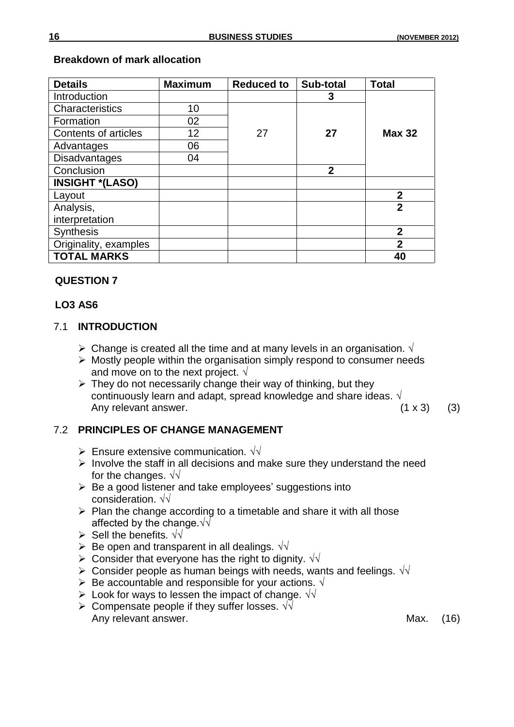| <b>Details</b>         | <b>Maximum</b> | <b>Reduced to</b> | Sub-total      | <b>Total</b>   |
|------------------------|----------------|-------------------|----------------|----------------|
| Introduction           |                |                   | 3              |                |
| Characteristics        | 10             |                   |                |                |
| Formation              | 02             |                   |                |                |
| Contents of articles   | 12             | 27                | 27             | <b>Max 32</b>  |
| Advantages             | 06             |                   |                |                |
| <b>Disadvantages</b>   | 04             |                   |                |                |
| Conclusion             |                |                   | $\overline{2}$ |                |
| <b>INSIGHT *(LASO)</b> |                |                   |                |                |
| Layout                 |                |                   |                | $\overline{2}$ |
| Analysis,              |                |                   |                | $\overline{2}$ |
| interpretation         |                |                   |                |                |
| <b>Synthesis</b>       |                |                   |                | $\overline{2}$ |
| Originality, examples  |                |                   |                | $\overline{2}$ |
| <b>TOTAL MARKS</b>     |                |                   |                | 40             |

## **Breakdown of mark allocation**

## **QUESTION 7**

## **LO3 AS6**

## 7.1 **INTRODUCTION**

- $\triangleright$  Change is created all the time and at many levels in an organisation.  $\sqrt{ }$
- $\triangleright$  Mostly people within the organisation simply respond to consumer needs and move on to the next project.  $\sqrt{ }$
- $\triangleright$  They do not necessarily change their way of thinking, but they continuously learn and adapt, spread knowledge and share ideas. √ Any relevant answer.  $(1 \times 3)$  (3)

## 7.2 **PRINCIPLES OF CHANGE MANAGEMENT**

- Ensure extensive communication.  $\sqrt{v}$
- $\triangleright$  Involve the staff in all decisions and make sure they understand the need for the changes.  $\sqrt{\sqrt{}}$
- $\triangleright$  Be a good listener and take employees' suggestions into consideration. √√
- $\triangleright$  Plan the change according to a timetable and share it with all those affected by the change.√√
- Sell the benefits. √√
- $\triangleright$  Be open and transparent in all dealings.  $\sqrt{v}$
- > Consider that everyone has the right to dignity.  $\sqrt{\sqrt{}}$
- > Consider people as human beings with needs, wants and feelings.  $\sqrt{\sqrt{}}$
- Be accountable and responsible for your actions. √
- $\triangleright$  Look for ways to lessen the impact of change. √√
- > Compensate people if they suffer losses.  $\sqrt{v}$ Any relevant answer. The contract of the contract of the Max. (16)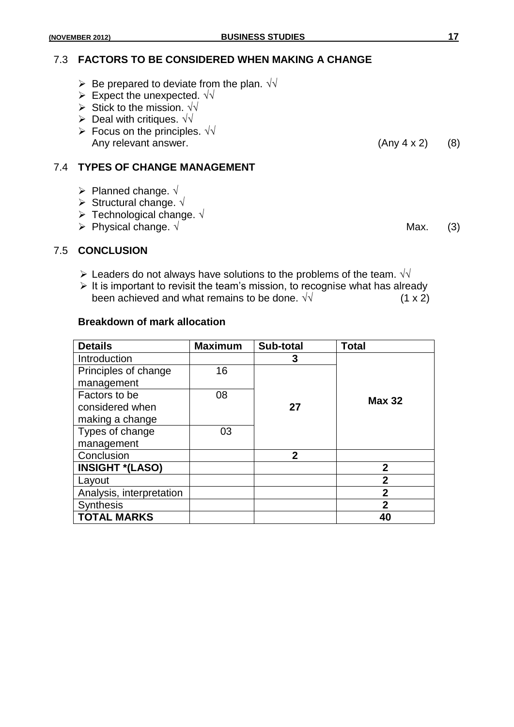#### 7.3 **FACTORS TO BE CONSIDERED WHEN MAKING A CHANGE**

- $\triangleright$  Be prepared to deviate from the plan.  $\sqrt{v}$
- Expect the unexpected.  $\sqrt{v}$
- > Stick to the mission.  $\sqrt{\sqrt{}}$
- $\triangleright$  Deal with critiques. √√
- $\triangleright$  Focus on the principles. √√ Any relevant answer. (Any 4 x 2) (8)

## 7.4 **TYPES OF CHANGE MANAGEMENT**

- $\triangleright$  Planned change.  $\sqrt{ }$
- Structural change. √
- Technological change. √
- $\triangleright$  Physical change. √ Max. (3)

#### 7.5 **CONCLUSION**

- $\triangleright$  Leaders do not always have solutions to the problems of the team.  $\sqrt{\sqrt{2}}$
- $\triangleright$  It is important to revisit the team's mission, to recognise what has already been achieved and what remains to be done.  $\sqrt{v}$  (1 x 2)

#### **Breakdown of mark allocation**

| <b>Details</b>           | <b>Maximum</b> | Sub-total   | <b>Total</b>   |
|--------------------------|----------------|-------------|----------------|
| Introduction             |                | 3           |                |
| Principles of change     | 16             |             |                |
| management               |                |             |                |
| Factors to be            | 08             |             | <b>Max 32</b>  |
| considered when          |                | 27          |                |
| making a change          |                |             |                |
| Types of change          | 03             |             |                |
| management               |                |             |                |
| Conclusion               |                | $\mathbf 2$ |                |
| <b>INSIGHT *(LASO)</b>   |                |             | $\mathbf 2$    |
| Layout                   |                |             | $\overline{2}$ |
| Analysis, interpretation |                |             | $\overline{2}$ |
| <b>Synthesis</b>         |                |             | $\overline{2}$ |
| <b>TOTAL MARKS</b>       |                |             | 40             |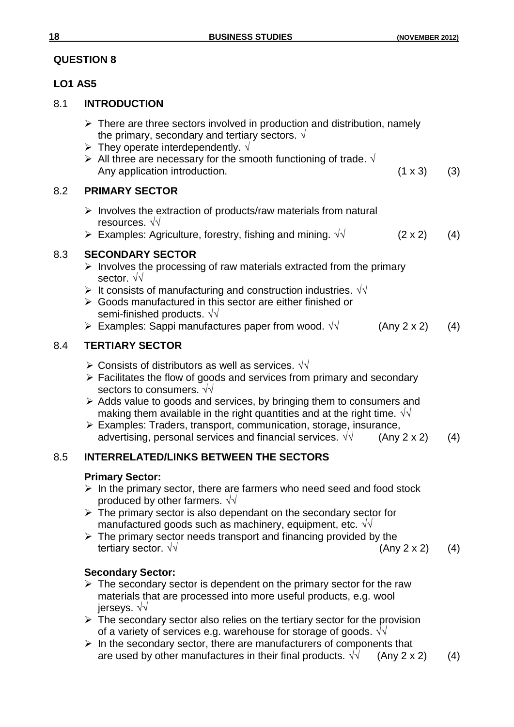## **LO1 AS5**

## 8.1 **INTRODUCTION**

- $\triangleright$  There are three sectors involved in production and distribution, namely the primary, secondary and tertiary sectors.  $\sqrt{ }$
- > They operate interdependently.  $\sqrt$
- All three are necessary for the smooth functioning of trade.  $\sqrt{ }$ Any application introduction. (1 x 3) (3)

## 8.2 **PRIMARY SECTOR**

- $\triangleright$  Involves the extraction of products/raw materials from natural resources. √√
- $\triangleright$  Examples: Agriculture, forestry, fishing and mining. √√ (2 x 2) (4)

## 8.3 **SECONDARY SECTOR**

- $\triangleright$  Involves the processing of raw materials extracted from the primary sector. √√
- $\triangleright$  It consists of manufacturing and construction industries.  $\sqrt{v}$
- Goods manufactured in this sector are either finished or semi-finished products. √√
- $\triangleright$  Examples: Sappi manufactures paper from wood. √ (Any 2 x 2) (4)

## 8.4 **TERTIARY SECTOR**

- $\triangleright$  Consists of distributors as well as services. √√
- $\triangleright$  Facilitates the flow of goods and services from primary and secondary sectors to consumers.  $\sqrt{\sqrt{2}}$
- $\triangleright$  Adds value to goods and services, by bringing them to consumers and making them available in the right quantities and at the right time.  $\sqrt{\sqrt{2}}$
- Examples: Traders, transport, communication, storage, insurance, advertising, personal services and financial services.  $\sqrt{1}$  (Any 2 x 2) (4)

# 8.5 **INTERRELATED/LINKS BETWEEN THE SECTORS**

## **Primary Sector:**

- $\triangleright$  In the primary sector, there are farmers who need seed and food stock produced by other farmers.  $\sqrt{\sqrt{}}$
- $\triangleright$  The primary sector is also dependant on the secondary sector for manufactured goods such as machinery, equipment, etc. √√
- $\triangleright$  The primary sector needs transport and financing provided by the tertiary sector.  $\sqrt{√}$  (Any 2 x 2) (4)

## **Secondary Sector:**

- $\triangleright$  The secondary sector is dependent on the primary sector for the raw materials that are processed into more useful products, e.g. wool jerseys. √√
- $\triangleright$  The secondary sector also relies on the tertiary sector for the provision of a variety of services e.g. warehouse for storage of goods.  $\sqrt{\sqrt{}}$
- $\triangleright$  In the secondary sector, there are manufacturers of components that are used by other manufactures in their final products.  $\sqrt{\sqrt{ }}$  (Any 2 x 2) (4)